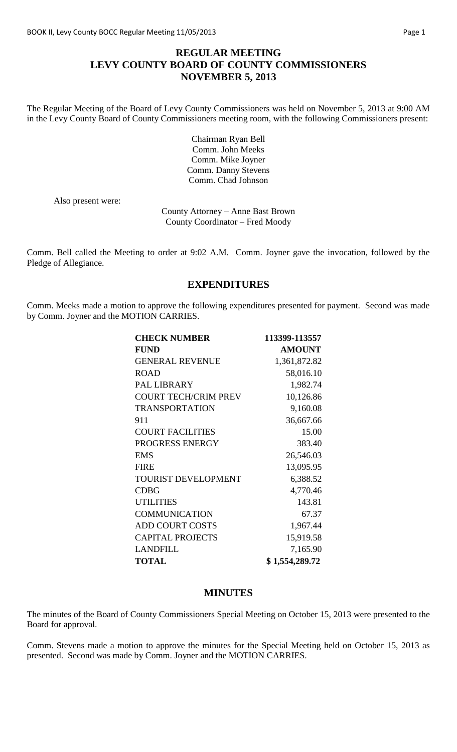# **REGULAR MEETING LEVY COUNTY BOARD OF COUNTY COMMISSIONERS NOVEMBER 5, 2013**

The Regular Meeting of the Board of Levy County Commissioners was held on November 5, 2013 at 9:00 AM in the Levy County Board of County Commissioners meeting room, with the following Commissioners present:

> Chairman Ryan Bell Comm. John Meeks Comm. Mike Joyner Comm. Danny Stevens Comm. Chad Johnson

Also present were:

County Attorney – Anne Bast Brown County Coordinator – Fred Moody

Comm. Bell called the Meeting to order at 9:02 A.M. Comm. Joyner gave the invocation, followed by the Pledge of Allegiance.

#### **EXPENDITURES**

Comm. Meeks made a motion to approve the following expenditures presented for payment. Second was made by Comm. Joyner and the MOTION CARRIES.

| <b>CHECK NUMBER</b>         | 113399-113557  |
|-----------------------------|----------------|
| <b>FUND</b>                 | <b>AMOUNT</b>  |
| <b>GENERAL REVENUE</b>      | 1,361,872.82   |
| <b>ROAD</b>                 | 58,016.10      |
| <b>PAL LIBRARY</b>          | 1,982.74       |
| <b>COURT TECH/CRIM PREV</b> | 10,126.86      |
| <b>TRANSPORTATION</b>       | 9,160.08       |
| 911                         | 36,667.66      |
| <b>COURT FACILITIES</b>     | 15.00          |
| PROGRESS ENERGY             | 383.40         |
| <b>EMS</b>                  | 26,546.03      |
| <b>FIRE</b>                 | 13,095.95      |
| <b>TOURIST DEVELOPMENT</b>  | 6,388.52       |
| <b>CDBG</b>                 | 4,770.46       |
| <b>UTILITIES</b>            | 143.81         |
| <b>COMMUNICATION</b>        | 67.37          |
| <b>ADD COURT COSTS</b>      | 1,967.44       |
| <b>CAPITAL PROJECTS</b>     | 15,919.58      |
| <b>LANDFILL</b>             | 7,165.90       |
| <b>TOTAL</b>                | \$1,554,289.72 |

#### **MINUTES**

The minutes of the Board of County Commissioners Special Meeting on October 15, 2013 were presented to the Board for approval.

Comm. Stevens made a motion to approve the minutes for the Special Meeting held on October 15, 2013 as presented. Second was made by Comm. Joyner and the MOTION CARRIES.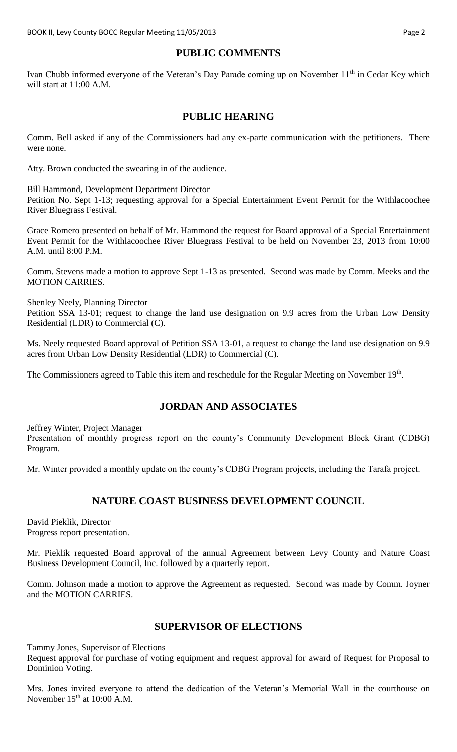# **PUBLIC COMMENTS**

Ivan Chubb informed everyone of the Veteran's Day Parade coming up on November 11<sup>th</sup> in Cedar Key which will start at 11:00 A.M.

#### **PUBLIC HEARING**

Comm. Bell asked if any of the Commissioners had any ex-parte communication with the petitioners. There were none.

Atty. Brown conducted the swearing in of the audience.

Bill Hammond, Development Department Director

Petition No. Sept 1-13; requesting approval for a Special Entertainment Event Permit for the Withlacoochee River Bluegrass Festival.

Grace Romero presented on behalf of Mr. Hammond the request for Board approval of a Special Entertainment Event Permit for the Withlacoochee River Bluegrass Festival to be held on November 23, 2013 from 10:00 A.M. until 8:00 P.M.

Comm. Stevens made a motion to approve Sept 1-13 as presented. Second was made by Comm. Meeks and the MOTION CARRIES.

Shenley Neely, Planning Director

Petition SSA 13-01; request to change the land use designation on 9.9 acres from the Urban Low Density Residential (LDR) to Commercial (C).

Ms. Neely requested Board approval of Petition SSA 13-01, a request to change the land use designation on 9.9 acres from Urban Low Density Residential (LDR) to Commercial (C).

The Commissioners agreed to Table this item and reschedule for the Regular Meeting on November 19<sup>th</sup>.

## **JORDAN AND ASSOCIATES**

Jeffrey Winter, Project Manager

Presentation of monthly progress report on the county's Community Development Block Grant (CDBG) Program.

Mr. Winter provided a monthly update on the county's CDBG Program projects, including the Tarafa project.

## **NATURE COAST BUSINESS DEVELOPMENT COUNCIL**

David Pieklik, Director Progress report presentation.

Mr. Pieklik requested Board approval of the annual Agreement between Levy County and Nature Coast Business Development Council, Inc. followed by a quarterly report.

Comm. Johnson made a motion to approve the Agreement as requested. Second was made by Comm. Joyner and the MOTION CARRIES.

# **SUPERVISOR OF ELECTIONS**

Tammy Jones, Supervisor of Elections

Request approval for purchase of voting equipment and request approval for award of Request for Proposal to Dominion Voting.

Mrs. Jones invited everyone to attend the dedication of the Veteran's Memorial Wall in the courthouse on November  $15<sup>th</sup>$  at 10:00 A.M.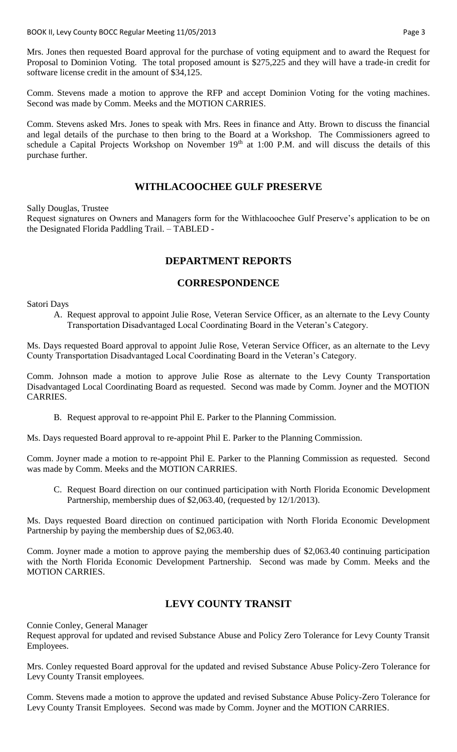Mrs. Jones then requested Board approval for the purchase of voting equipment and to award the Request for Proposal to Dominion Voting. The total proposed amount is \$275,225 and they will have a trade-in credit for software license credit in the amount of \$34,125.

Comm. Stevens made a motion to approve the RFP and accept Dominion Voting for the voting machines. Second was made by Comm. Meeks and the MOTION CARRIES.

Comm. Stevens asked Mrs. Jones to speak with Mrs. Rees in finance and Atty. Brown to discuss the financial and legal details of the purchase to then bring to the Board at a Workshop. The Commissioners agreed to schedule a Capital Projects Workshop on November 19<sup>th</sup> at 1:00 P.M. and will discuss the details of this purchase further.

#### **WITHLACOOCHEE GULF PRESERVE**

Sally Douglas, Trustee

Request signatures on Owners and Managers form for the Withlacoochee Gulf Preserve's application to be on the Designated Florida Paddling Trail. – TABLED -

## **DEPARTMENT REPORTS**

#### **CORRESPONDENCE**

Satori Days

A. Request approval to appoint Julie Rose, Veteran Service Officer, as an alternate to the Levy County Transportation Disadvantaged Local Coordinating Board in the Veteran's Category.

Ms. Days requested Board approval to appoint Julie Rose, Veteran Service Officer, as an alternate to the Levy County Transportation Disadvantaged Local Coordinating Board in the Veteran's Category.

Comm. Johnson made a motion to approve Julie Rose as alternate to the Levy County Transportation Disadvantaged Local Coordinating Board as requested. Second was made by Comm. Joyner and the MOTION CARRIES.

B. Request approval to re-appoint Phil E. Parker to the Planning Commission.

Ms. Days requested Board approval to re-appoint Phil E. Parker to the Planning Commission.

Comm. Joyner made a motion to re-appoint Phil E. Parker to the Planning Commission as requested. Second was made by Comm. Meeks and the MOTION CARRIES.

C. Request Board direction on our continued participation with North Florida Economic Development Partnership, membership dues of \$2,063.40, (requested by 12/1/2013).

Ms. Days requested Board direction on continued participation with North Florida Economic Development Partnership by paying the membership dues of \$2,063.40.

Comm. Joyner made a motion to approve paying the membership dues of \$2,063.40 continuing participation with the North Florida Economic Development Partnership. Second was made by Comm. Meeks and the MOTION CARRIES.

## **LEVY COUNTY TRANSIT**

Connie Conley, General Manager

Request approval for updated and revised Substance Abuse and Policy Zero Tolerance for Levy County Transit Employees.

Mrs. Conley requested Board approval for the updated and revised Substance Abuse Policy-Zero Tolerance for Levy County Transit employees.

Comm. Stevens made a motion to approve the updated and revised Substance Abuse Policy-Zero Tolerance for Levy County Transit Employees. Second was made by Comm. Joyner and the MOTION CARRIES.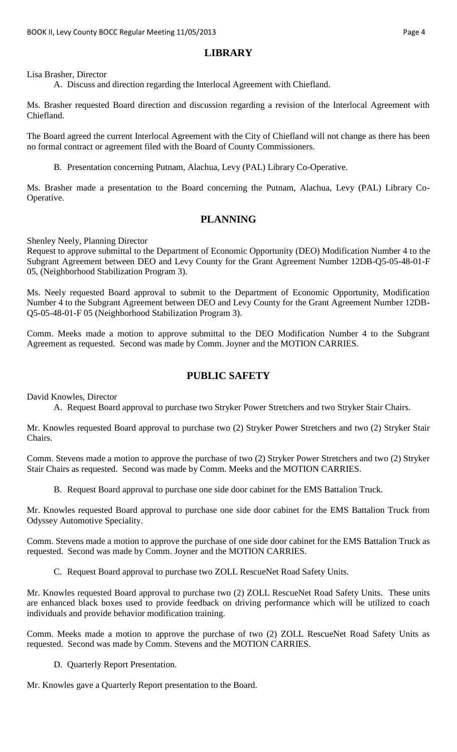### **LIBRARY**

Lisa Brasher, Director

A. Discuss and direction regarding the Interlocal Agreement with Chiefland.

Ms. Brasher requested Board direction and discussion regarding a revision of the Interlocal Agreement with Chiefland.

The Board agreed the current Interlocal Agreement with the City of Chiefland will not change as there has been no formal contract or agreement filed with the Board of County Commissioners.

B. Presentation concerning Putnam, Alachua, Levy (PAL) Library Co-Operative.

Ms. Brasher made a presentation to the Board concerning the Putnam, Alachua, Levy (PAL) Library Co-Operative.

## **PLANNING**

Shenley Neely, Planning Director

Request to approve submittal to the Department of Economic Opportunity (DEO) Modification Number 4 to the Subgrant Agreement between DEO and Levy County for the Grant Agreement Number 12DB-Q5-05-48-01-F 05, (Neighborhood Stabilization Program 3).

Ms. Neely requested Board approval to submit to the Department of Economic Opportunity, Modification Number 4 to the Subgrant Agreement between DEO and Levy County for the Grant Agreement Number 12DB-Q5-05-48-01-F 05 (Neighborhood Stabilization Program 3).

Comm. Meeks made a motion to approve submittal to the DEO Modification Number 4 to the Subgrant Agreement as requested. Second was made by Comm. Joyner and the MOTION CARRIES.

# **PUBLIC SAFETY**

David Knowles, Director

A. Request Board approval to purchase two Stryker Power Stretchers and two Stryker Stair Chairs.

Mr. Knowles requested Board approval to purchase two (2) Stryker Power Stretchers and two (2) Stryker Stair Chairs.

Comm. Stevens made a motion to approve the purchase of two (2) Stryker Power Stretchers and two (2) Stryker Stair Chairs as requested. Second was made by Comm. Meeks and the MOTION CARRIES.

B. Request Board approval to purchase one side door cabinet for the EMS Battalion Truck.

Mr. Knowles requested Board approval to purchase one side door cabinet for the EMS Battalion Truck from Odyssey Automotive Speciality.

Comm. Stevens made a motion to approve the purchase of one side door cabinet for the EMS Battalion Truck as requested. Second was made by Comm. Joyner and the MOTION CARRIES.

C. Request Board approval to purchase two ZOLL RescueNet Road Safety Units.

Mr. Knowles requested Board approval to purchase two (2) ZOLL RescueNet Road Safety Units. These units are enhanced black boxes used to provide feedback on driving performance which will be utilized to coach individuals and provide behavior modification training.

Comm. Meeks made a motion to approve the purchase of two (2) ZOLL RescueNet Road Safety Units as requested. Second was made by Comm. Stevens and the MOTION CARRIES.

D. Quarterly Report Presentation.

Mr. Knowles gave a Quarterly Report presentation to the Board.